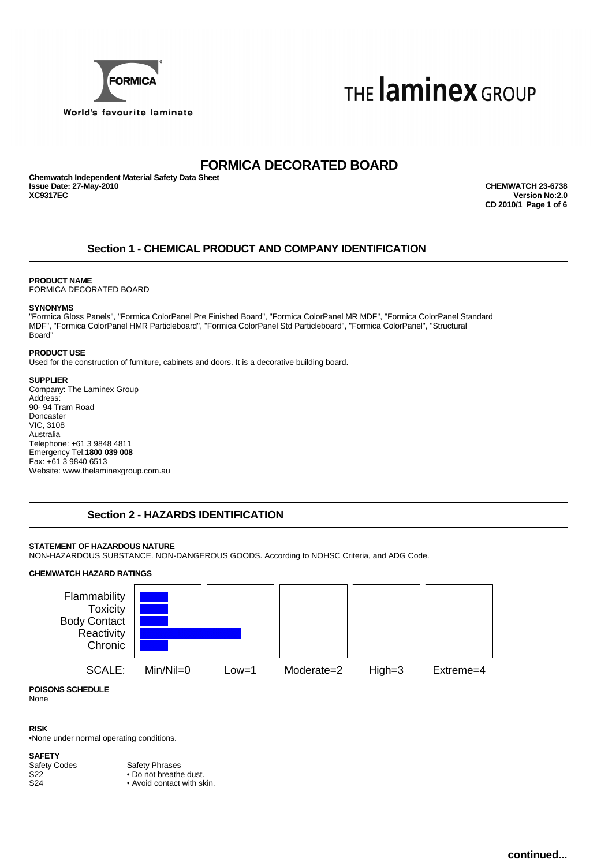



# **FORMICA DECORATED BOARD**

**Chemwatch Independent Material Safety Data Sheet Issue Date: 27-May-2010 CHEMWATCH 23-6738**

**Version No:2.0 CD 2010/1 Page 1 of 6**

### **Section 1 - CHEMICAL PRODUCT AND COMPANY IDENTIFICATION**

### **PRODUCT NAME**

FORMICA DECORATED BOARD

### **SYNONYMS**

"Formica Gloss Panels", "Formica ColorPanel Pre Finished Board", "Formica ColorPanel MR MDF", "Formica ColorPanel Standard MDF", "Formica ColorPanel HMR Particleboard", "Formica ColorPanel Std Particleboard", "Formica ColorPanel", "Structural Board"

### **PRODUCT USE**

Used for the construction of furniture, cabinets and doors. It is a decorative building board.

### **SUPPLIER**

Company: The Laminex Group Address: 90- 94 Tram Road Doncaster VIC, 3108 Australia Telephone: +61 3 9848 4811 Emergency Tel:**1800 039 008** Fax: +61 3 9840 6513 Website: www.thelaminexgroup.com.au

### **Section 2 - HAZARDS IDENTIFICATION**

### **STATEMENT OF HAZARDOUS NATURE**

NON-HAZARDOUS SUBSTANCE. NON-DANGEROUS GOODS. According to NOHSC Criteria, and ADG Code.

### **CHEMWATCH HAZARD RATINGS**



**POISONS SCHEDULE** None

### **RISK**

•None under normal operating conditions.

**SAFETY**<br>Safety Codes

Safety Codes<br>
S22 • Do not breather • Do not breathe dust.

S24 • Avoid contact with skin.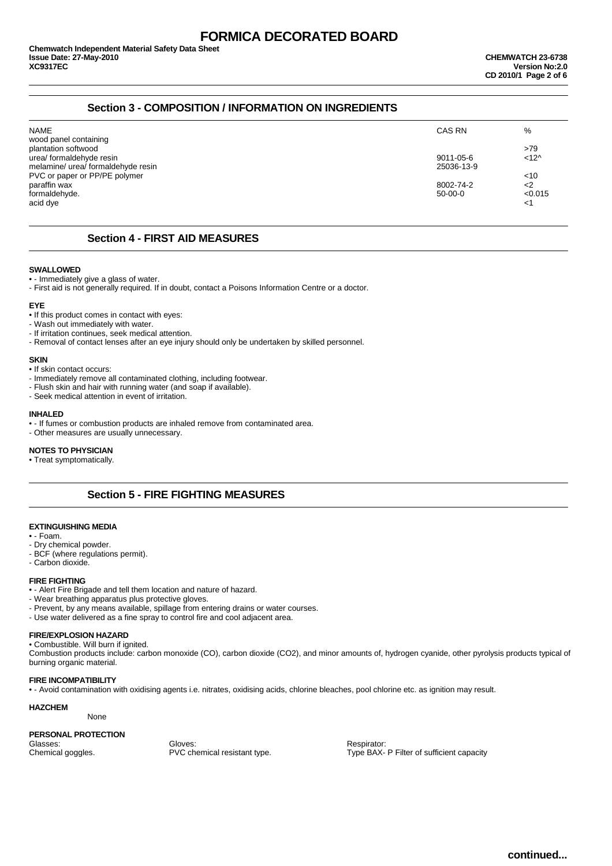### **Section 3 - COMPOSITION / INFORMATION ON INGREDIENTS**

|            | %             |
|------------|---------------|
|            |               |
|            | >79           |
| 9011-05-6  | $<12^$        |
| 25036-13-9 |               |
|            | $<$ 10        |
| 8002-74-2  | $<$ 2         |
| $50-00-0$  | < 0.015       |
|            | <1            |
|            | <b>CAS RN</b> |

### **Section 4 - FIRST AID MEASURES**

#### **SWALLOWED**

• - Immediately give a glass of water.

- First aid is not generally required. If in doubt, contact a Poisons Information Centre or a doctor.

#### **EYE**

- If this product comes in contact with eyes:
- Wash out immediately with water.
- If irritation continues, seek medical attention.
- Removal of contact lenses after an eye injury should only be undertaken by skilled personnel.

### **SKIN**

- If skin contact occurs:
- Immediately remove all contaminated clothing, including footwear.
- Flush skin and hair with running water (and soap if available).
- Seek medical attention in event of irritation.

#### **INHALED**

- - If fumes or combustion products are inhaled remove from contaminated area.
- Other measures are usually unnecessary.

### **NOTES TO PHYSICIAN**

• Treat symptomatically.

### **Section 5 - FIRE FIGHTING MEASURES**

#### **EXTINGUISHING MEDIA**

- - Foam.
- Dry chemical powder.
- BCF (where regulations permit).
- Carbon dioxide.

### **FIRE FIGHTING**

- - Alert Fire Brigade and tell them location and nature of hazard.
- Wear breathing apparatus plus protective gloves.
- Prevent, by any means available, spillage from entering drains or water courses.
- Use water delivered as a fine spray to control fire and cool adjacent area.

### **FIRE/EXPLOSION HAZARD**

• Combustible. Will burn if ignited.

Combustion products include: carbon monoxide (CO), carbon dioxide (CO2), and minor amounts of, hydrogen cyanide, other pyrolysis products typical of burning organic material.

### **FIRE INCOMPATIBILITY**

• - Avoid contamination with oxidising agents i.e. nitrates, oxidising acids, chlorine bleaches, pool chlorine etc. as ignition may result.

### **HAZCHEM**

None

### **PERSONAL PROTECTION**

Glasses: Chemical goggles. Cloves: Gloves: Chemical goggles. Chemical goggles. Chemical goggles. Chemical resistant type. Type BAX-

Type BAX- P Filter of sufficient capacity

**continued...**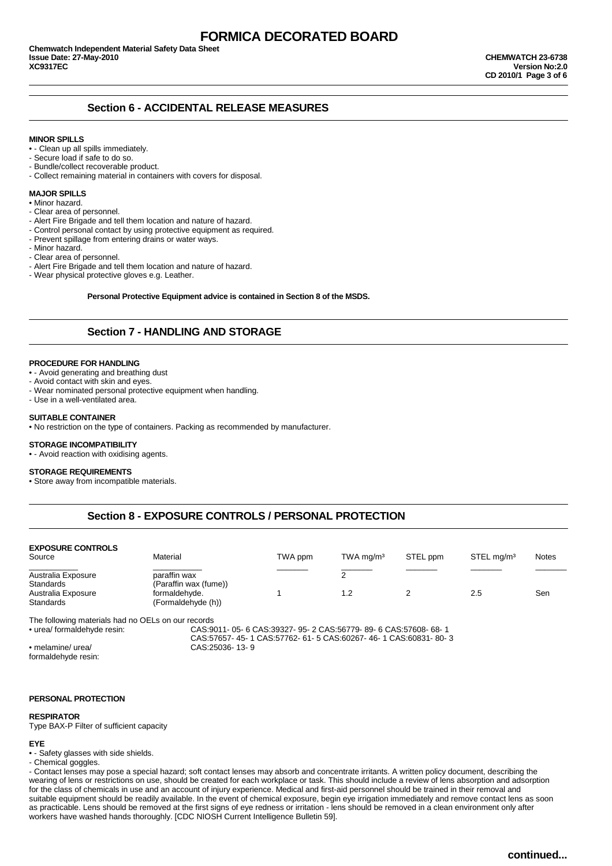### **Section 6 - ACCIDENTAL RELEASE MEASURES**

#### **MINOR SPILLS**

- - Clean up all spills immediately.
- Secure load if safe to do so.
- Bundle/collect recoverable product.
- Collect remaining material in containers with covers for disposal.

### **MAJOR SPILLS**

- Minor hazard.
- Clear area of personnel.
- Alert Fire Brigade and tell them location and nature of hazard.
- Control personal contact by using protective equipment as required.
- Prevent spillage from entering drains or water ways.
- Minor hazard.
- Clear area of personnel.
- Alert Fire Brigade and tell them location and nature of hazard.
- Wear physical protective gloves e.g. Leather.

#### **Personal Protective Equipment advice is contained in Section 8 of the MSDS.**

### **Section 7 - HANDLING AND STORAGE**

#### **PROCEDURE FOR HANDLING**

- - Avoid generating and breathing dust
- Avoid contact with skin and eyes.
- Wear nominated personal protective equipment when handling.
- Use in a well-ventilated area.

#### **SUITABLE CONTAINER**

• No restriction on the type of containers. Packing as recommended by manufacturer.

### **STORAGE INCOMPATIBILITY**

• - Avoid reaction with oxidising agents.

#### **STORAGE REQUIREMENTS**

• Store away from incompatible materials.

### **Section 8 - EXPOSURE CONTROLS / PERSONAL PROTECTION**

| <b>EXPOSURE CONTROLS</b><br>Source | Material                              | TWA ppm | $TWA$ mg/m <sup>3</sup> | STEL ppm | STEL mg/m <sup>3</sup> | <b>Notes</b> |
|------------------------------------|---------------------------------------|---------|-------------------------|----------|------------------------|--------------|
| Australia Exposure<br>Standards    | paraffin wax<br>(Paraffin wax (fume)) |         |                         |          |                        |              |
| Australia Exposure<br>Standards    | formaldehyde.<br>(Formaldehyde (h))   |         | 1.2                     |          | 2.5                    | Sen          |

The following materials had no OELs on our records<br>• urea/ formaldehyde resin: CAS:9

• urea/ formaldehyde resin: CAS:9011- 05- 6 CAS:39327- 95- 2 CAS:56779- 89- 6 CAS:57608- 68- 1 CAS:57657- 45- 1 CAS:57762- 61- 5 CAS:60267- 46- 1 CAS:60831- 80- 3 • melamine/ urea/ CAS:25036- 13- 9

formaldehyde resin:

#### **PERSONAL PROTECTION**

#### **RESPIRATOR**

Type BAX-P Filter of sufficient capacity

### **EYE**

• - Safety glasses with side shields.

- Chemical goggles.

- Contact lenses may pose a special hazard; soft contact lenses may absorb and concentrate irritants. A written policy document, describing the wearing of lens or restrictions on use, should be created for each workplace or task. This should include a review of lens absorption and adsorption for the class of chemicals in use and an account of injury experience. Medical and first-aid personnel should be trained in their removal and suitable equipment should be readily available. In the event of chemical exposure, begin eye irrigation immediately and remove contact lens as soon as practicable. Lens should be removed at the first signs of eye redness or irritation - lens should be removed in a clean environment only after workers have washed hands thoroughly. [CDC NIOSH Current Intelligence Bulletin 59].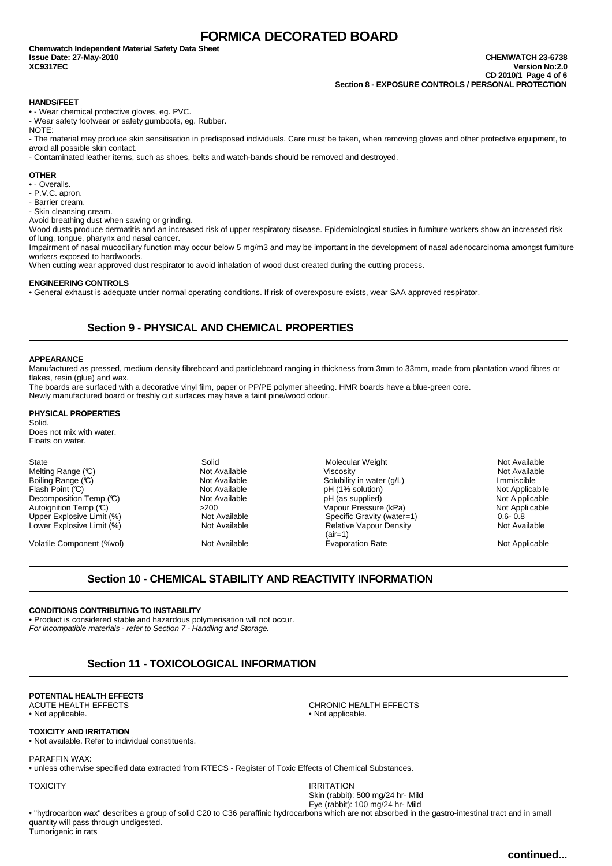#### **HANDS/FEET**

• - Wear chemical protective gloves, eg. PVC.

- Wear safety footwear or safety gumboots, eg. Rubber.

NOTE:

- The material may produce skin sensitisation in predisposed individuals. Care must be taken, when removing gloves and other protective equipment, to avoid all possible skin contact.

- Contaminated leather items, such as shoes, belts and watch-bands should be removed and destroyed.

### **OTHER**

• - Overalls.

- P.V.C. apron.
- Barrier cream.

- Skin cleansing cream.

Avoid breathing dust when sawing or grinding.

Wood dusts produce dermatitis and an increased risk of upper respiratory disease. Epidemiological studies in furniture workers show an increased risk of lung, tongue, pharynx and nasal cancer.

Impairment of nasal mucociliary function may occur below 5 mg/m3 and may be important in the development of nasal adenocarcinoma amongst furniture workers exposed to hardwoods.

When cutting wear approved dust respirator to avoid inhalation of wood dust created during the cutting process.

### **ENGINEERING CONTROLS**

• General exhaust is adequate under normal operating conditions. If risk of overexposure exists, wear SAA approved respirator.

### **Section 9 - PHYSICAL AND CHEMICAL PROPERTIES**

#### **APPEARANCE**

Manufactured as pressed, medium density fibreboard and particleboard ranging in thickness from 3mm to 33mm, made from plantation wood fibres or flakes, resin (glue) and wax.

The boards are surfaced with a decorative vinyl film, paper or PP/PE polymer sheeting. HMR boards have a blue-green core. Newly manufactured board or freshly cut surfaces may have a faint pine/wood odour.

### **PHYSICAL PROPERTIES**

Solid.

Does not mix with water. Floats on water.

Lower Explosive Limit (%)

Volatile Component (%vol) **Not Available** Not Available Evaporation Rate Not Applicable Not Applicable

State State Solid Solid Solid Solid Molecular Weight Not Available<br>Solid Not Available Not Available Niscosity Not Available Niscosity Not Available Melting Range (℃) Not Available Viscosity Not Availab<br>Boiling Range (℃) Not Available Solubility in water (q/L) Boiling Range (°C) Not Available Solubility in water (g/L) I mmiscible Flash Point (°C) Mot Available Not Available Solubility in water (g/L) Immiscible Immiscible Not Available Plash Point (°C) Not Available pH (1% solution) Not Applicab le Decomposition Temp (°C) Not Available pH (as suppli Decomposition Temp (℃) Not Available (Decomposition Temp (℃) Not A pplicable pH (as supplied) Not A pplicable<br>Autoignition Temp (℃) 200 >200 >200 Not Appli cable Autoignition Temp (°C) >200 Vapour Pressure (kPa) Not Appli cable Upper Explosive Limit (%) Not Available Specific Gravity (water=1) 0.6- 0.8<br>Lower Explosive Limit (%) Not Available Relative Vapour Density Not Available (air=1)<br>Evaporation Rate

### **Section 10 - CHEMICAL STABILITY AND REACTIVITY INFORMATION**

### **CONDITIONS CONTRIBUTING TO INSTABILITY**

• Product is considered stable and hazardous polymerisation will not occur. For incompatible materials - refer to Section 7 - Handling and Storage.

### **Section 11 - TOXICOLOGICAL INFORMATION**

# **POTENTIAL HEALTH EFFECTS**

• Not applicable. • Not applicable.

### **TOXICITY AND IRRITATION**

• Not available. Refer to individual constituents.

#### PARAFFIN WAX:

• unless otherwise specified data extracted from RTECS - Register of Toxic Effects of Chemical Substances.

TOXICITY IRRITATION Skin (rabbit): 500 mg/24 hr- Mild Eye (rabbit): 100 mg/24 hr- Mild

CHRONIC HEALTH EFFECTS

• "hydrocarbon wax" describes a group of solid C20 to C36 paraffinic hydrocarbons which are not absorbed in the gastro-intestinal tract and in small quantity will pass through undigested. Tumorigenic in rats

**continued...**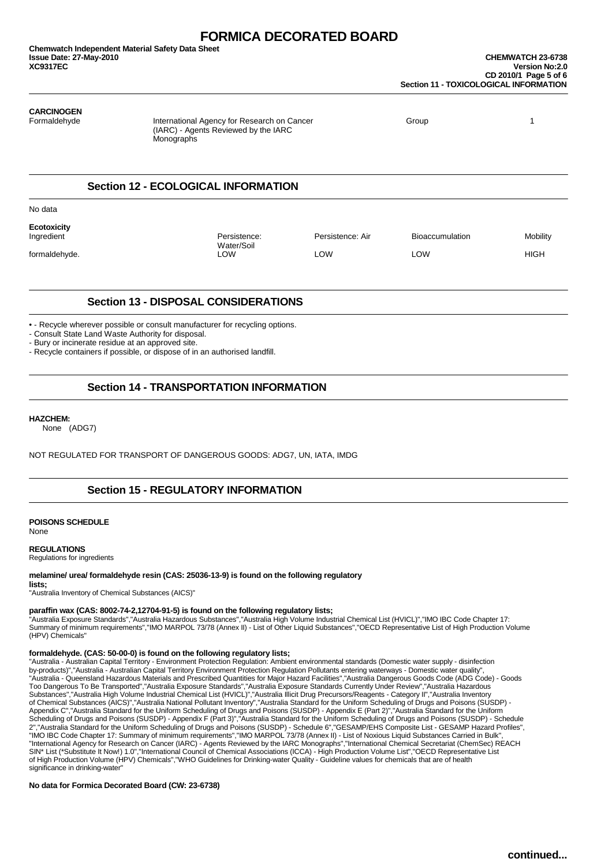### **CARCINOGEN**

Formaldehyde **International Agency for Research on Cancer** Group Group Group 1 (IARC) - Agents Reviewed by the IARC **Monographs** 

### **Section 12 - ECOLOGICAL INFORMATION**

No data

**Ecotoxicity Persistence:** Persistence: Air Bioaccumulation Mobility Water/Soil<br>I OW formaldehyde. LOW LOW LOW HIGH

### **Section 13 - DISPOSAL CONSIDERATIONS**

• - Recycle wherever possible or consult manufacturer for recycling options.

- Consult State Land Waste Authority for disposal.

- Bury or incinerate residue at an approved site.

- Recycle containers if possible, or dispose of in an authorised landfill.

### **Section 14 - TRANSPORTATION INFORMATION**

#### **HAZCHEM:**

None (ADG7)

NOT REGULATED FOR TRANSPORT OF DANGEROUS GOODS: ADG7, UN, IATA, IMDG

### **Section 15 - REGULATORY INFORMATION**

**POISONS SCHEDULE**

None

### **REGULATIONS**

Regulations for ingredients

#### **melamine/ urea/ formaldehyde resin (CAS: 25036-13-9) is found on the following regulatory**

**lists;** "Australia Inventory of Chemical Substances (AICS)"

### **paraffin wax (CAS: 8002-74-2,12704-91-5) is found on the following regulatory lists;**

"Australia Exposure Standards","Australia Hazardous Substances","Australia High Volume Industrial Chemical List (HVICL)","IMO IBC Code Chapter 17:<br>Summary of minimum requirements","IMO MARPOL 73/78 (Annex II) - List of Oth (HPV) Chemicals"

### **formaldehyde. (CAS: 50-00-0) is found on the following regulatory lists;**

"Australia - Australian Capital Territory - Environment Protection Regulation: Ambient environmental standards (Domestic water supply - disinfection<br>by-products)","Australia - Australian Capital Territory Environment Prote "Australia - Queensland Hazardous Materials and Prescribed Quantities for Major Hazard Facilities","Australia Dangerous Goods Code (ADG Code) - Goods<br>Too Dangerous To Be Transported","Australia Exposure Standards","Austral Substances","Australia High Volume Industrial Chemical List (HVICL)","Australia Illicit Drug Precursors/Reagents - Category II","Australia Inventory<br>of Chemical Substances (AICS)","Australia National Pollutant Inventory"," SIN\* List (\*Substitute It Now!) 1.0","International Council of Chemical Associations (ICCA) - High Production Volume List","OECD Representative List<br>of High Production Volume (HPV) Chemicals","WHO Guidelines for Drinking-w significance in drinking-water"

### **No data for Formica Decorated Board (CW: 23-6738)**